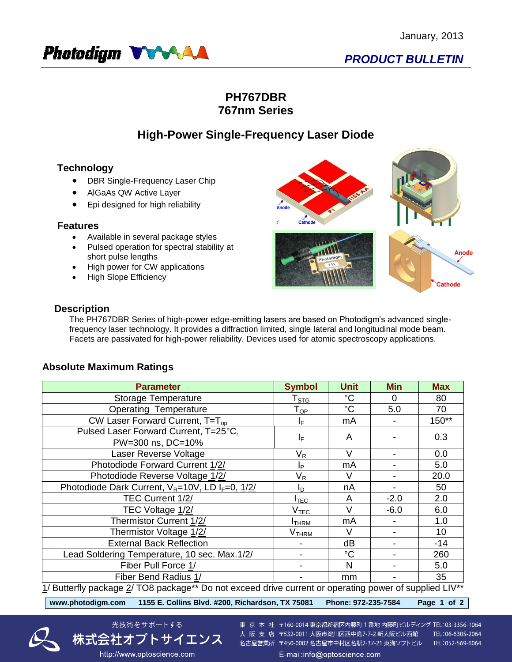

## **PH767DBR 767nm Series**

## **High-Power Single-Frequency Laser Diode**

### **Technology**

- DBR Single-Frequency Laser Chip
- AlGaAs QW Active Layer
- Epi designed for high reliability

#### **Features**

- Available in several package styles
- Pulsed operation for spectral stability at short pulse lengths
- High power for CW applications
- High Slope Efficiency



#### **Description**

The PH767DBR Series of high-power edge-emitting lasers are based on Photodigm's advanced singlefrequency laser technology. It provides a diffraction limited, single lateral and longitudinal mode beam. Facets are passivated for high-power reliability. Devices used for atomic spectroscopy applications.

#### **Absolute Maximum Ratings**

| <b>Parameter</b>                                                                                       | <b>Symbol</b>                | <b>Unit</b>     | <b>Min</b> | <b>Max</b> |  |  |  |
|--------------------------------------------------------------------------------------------------------|------------------------------|-----------------|------------|------------|--|--|--|
| Storage Temperature                                                                                    | ${\mathsf T}_{\texttt{STG}}$ | $^{\circ}C$     | 0          | 80         |  |  |  |
| <b>Operating Temperature</b>                                                                           | $\mathsf{T}_{\mathsf{OP}}$   | $\rm ^{\circ}C$ | 5.0        | 70         |  |  |  |
| CW Laser Forward Current, $T=T_{op}$                                                                   | ΙF                           | mA              |            | $150**$    |  |  |  |
| Pulsed Laser Forward Current, T=25°C,                                                                  | ΙF                           | A               |            | 0.3        |  |  |  |
| PW=300 ns, DC=10%                                                                                      |                              |                 |            |            |  |  |  |
| Laser Reverse Voltage                                                                                  | $\mathsf{V}_\mathsf{R}$      | $\vee$          |            | 0.0        |  |  |  |
| Photodiode Forward Current 1/2/                                                                        | IP.                          | mA              |            | 5.0        |  |  |  |
| Photodiode Reverse Voltage 1/2/                                                                        | $\mathsf{V}_\mathsf{R}$      | V               |            | 20.0       |  |  |  |
| Photodiode Dark Current, V <sub>R</sub> =10V, LD I <sub>F</sub> =0, 1/2/                               | I <sub>D</sub>               | nA              |            | 50         |  |  |  |
| TEC Current 1/2/                                                                                       | $I_{\mathsf{TEC}}$           | A               | $-2.0$     | 2.0        |  |  |  |
| TEC Voltage 1/2/                                                                                       | $V_{TEC}$                    | $\vee$          | $-6.0$     | 6.0        |  |  |  |
| Thermistor Current 1/2/                                                                                | <b>ITHRM</b>                 | mA              |            | 1.0        |  |  |  |
| Thermistor Voltage 1/2/                                                                                | V <sub>THRM</sub>            | V               |            | 10         |  |  |  |
| <b>External Back Reflection</b>                                                                        |                              | dB              |            | $-14$      |  |  |  |
| Lead Soldering Temperature, 10 sec. Max.1/2/                                                           |                              | $^{\circ}C$     |            | 260        |  |  |  |
| Fiber Pull Force 1/                                                                                    |                              | N               |            | 5.0        |  |  |  |
| Fiber Bend Radius 1/                                                                                   |                              | mm              |            | 35         |  |  |  |
| 1/ Butterfly package 2/ TO8 package** Do not exceed drive current or operating power of supplied LIV** |                              |                 |            |            |  |  |  |

**www.photodigm.com 1155 E. Collins Blvd. #200, Richardson, TX 75081 Phone: 972-235-7584 Page 1 of 2** 



光技術をサポートする 東 京 本 社 〒160-0014 東京都新宿区内藤町 1 番地 内藤町ビルディング TEL:03-3356-1064 株式会社オプトサイエンス

http://www.optoscience.com

大阪支店 〒532-0011 大阪市淀川区西中島7-7-2 新大阪ビル西館 TEL:06-6305-2064 名古屋営業所 〒450-0002 名古屋市中村区名駅2-37-21 東海ソフトビル TEL:052-569-6064 E-mail:info@optoscience.com